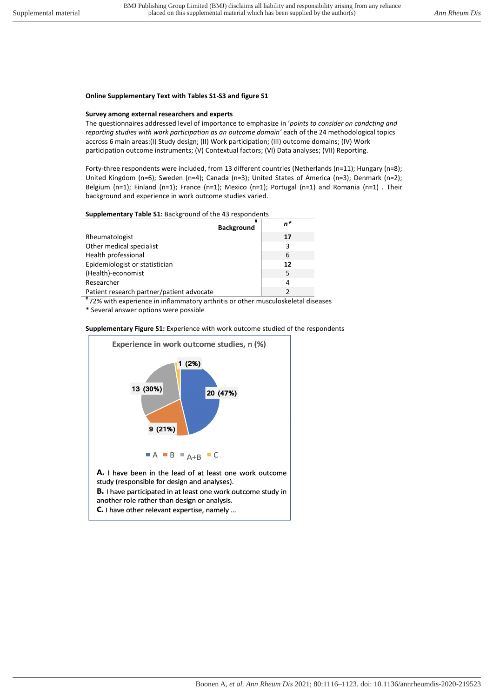## **Online Supplementary Text with Tables S1-S3 and figure S1**

## **Survey among external researchers and experts**

The questionnaires addressed level of importance to emphasize in '*points to consider on condcting and reporting studies with work participation as an outcome domain'* each of the 24 methodological topics accross 6 main areas:(I) Study design; (II) Work participation; (III) outcome domains; (IV) Work participation outcome instruments; (V) Contextual factors; (VI) Data analyses; (VII) Reporting.

Forty-three respondents were included, from 13 different countries (Netherlands (n=11); Hungary (n=8); United Kingdom (n=6); Sweden (n=4); Canada (n=3); United States of America (n=3); Denmark (n=2); Belgium (n=1); Finland (n=1); France (n=1); Mexico (n=1); Portugal (n=1) and Romania (n=1) . Their background and experience in work outcome studies varied.

## **Supplementary Table S1:** Background of the 43 respondents

| <b>Background</b>                         | n* |
|-------------------------------------------|----|
| Rheumatologist                            | 17 |
| Other medical specialist                  | 3  |
| Health professional                       | 6  |
| Epidemiologist or statistician            | 12 |
| (Health)-economist                        | 5  |
| Researcher                                | 4  |
| Patient research partner/patient advocate |    |

# 72% with experience in inflammatory arthritis or other musculoskeletal diseases

\* Several answer options were possible



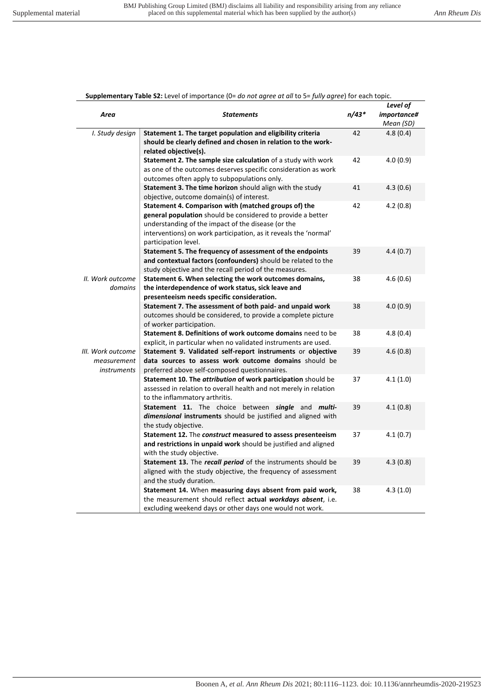## **Supplementary Table S2:** Level of importance (0= *do not agree at all* to 5= *fully agree*) for each topic.

|                   |                                                                                                                      |       | Level of    |
|-------------------|----------------------------------------------------------------------------------------------------------------------|-------|-------------|
| Area              | <b>Statements</b>                                                                                                    | n/43* | importance# |
|                   |                                                                                                                      |       | Mean (SD)   |
| I. Study design   | Statement 1. The target population and eligibility criteria                                                          | 42    | 4.8(0.4)    |
|                   | should be clearly defined and chosen in relation to the work-                                                        |       |             |
|                   | related objective(s).                                                                                                |       |             |
|                   | Statement 2. The sample size calculation of a study with work                                                        | 42    | 4.0(0.9)    |
|                   | as one of the outcomes deserves specific consideration as work                                                       |       |             |
|                   | outcomes often apply to subpopulations only.                                                                         |       |             |
|                   | Statement 3. The time horizon should align with the study                                                            | 41    | 4.3(0.6)    |
|                   | objective, outcome domain(s) of interest.                                                                            |       |             |
|                   | Statement 4. Comparison with (matched groups of) the                                                                 | 42    | 4.2(0.8)    |
|                   | general population should be considered to provide a better                                                          |       |             |
|                   | understanding of the impact of the disease (or the                                                                   |       |             |
|                   | interventions) on work participation, as it reveals the 'normal'                                                     |       |             |
|                   | participation level.                                                                                                 |       |             |
|                   | Statement 5. The frequency of assessment of the endpoints                                                            | 39    | 4.4(0.7)    |
|                   | and contextual factors (confounders) should be related to the                                                        |       |             |
|                   | study objective and the recall period of the measures.                                                               |       |             |
| II. Work outcome  | Statement 6. When selecting the work outcomes domains,                                                               | 38    | 4.6(0.6)    |
| domains           | the interdependence of work status, sick leave and                                                                   |       |             |
|                   | presenteeism needs specific consideration.                                                                           |       |             |
|                   | Statement 7. The assessment of both paid- and unpaid work                                                            | 38    | 4.0(0.9)    |
|                   | outcomes should be considered, to provide a complete picture                                                         |       |             |
|                   | of worker participation.                                                                                             |       |             |
|                   | Statement 8. Definitions of work outcome domains need to be                                                          | 38    | 4.8(0.4)    |
| III. Work outcome | explicit, in particular when no validated instruments are used.                                                      | 39    |             |
| measurement       | Statement 9. Validated self-report instruments or objective<br>data sources to assess work outcome domains should be |       | 4.6(0.8)    |
| instruments       | preferred above self-composed questionnaires.                                                                        |       |             |
|                   | Statement 10. The attribution of work participation should be                                                        | 37    | 4.1(1.0)    |
|                   | assessed in relation to overall health and not merely in relation                                                    |       |             |
|                   | to the inflammatory arthritis.                                                                                       |       |             |
|                   | Statement 11. The choice between single and multi-                                                                   | 39    | 4.1(0.8)    |
|                   | dimensional instruments should be justified and aligned with                                                         |       |             |
|                   | the study objective.                                                                                                 |       |             |
|                   | Statement 12. The construct measured to assess presenteeism                                                          | 37    | 4.1(0.7)    |
|                   | and restrictions in unpaid work should be justified and aligned                                                      |       |             |
|                   | with the study objective.                                                                                            |       |             |
|                   | Statement 13. The recall period of the instruments should be                                                         | 39    | 4.3(0.8)    |
|                   | aligned with the study objective, the frequency of assessment                                                        |       |             |
|                   | and the study duration.                                                                                              |       |             |
|                   | Statement 14. When measuring days absent from paid work,                                                             | 38    | 4.3(1.0)    |
|                   | the measurement should reflect actual workdays absent, i.e.                                                          |       |             |
|                   | excluding weekend days or other days one would not work.                                                             |       |             |
|                   |                                                                                                                      |       |             |